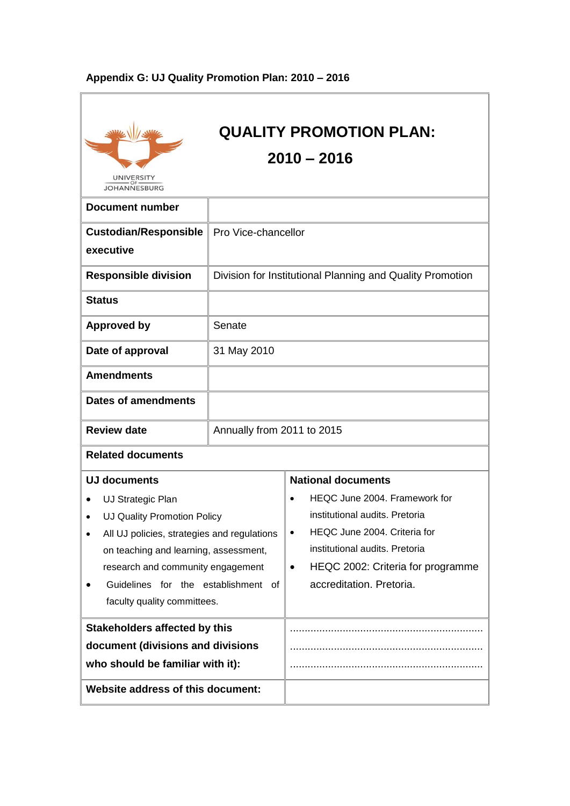| <b>UNIVERSITY</b><br><b>JOHANNESBURG</b>                                                                                                                                                                                                                                                                                 |                            | <b>QUALITY PROMOTION PLAN:</b><br>$2010 - 2016$                                                                                                                                                                                                                |
|--------------------------------------------------------------------------------------------------------------------------------------------------------------------------------------------------------------------------------------------------------------------------------------------------------------------------|----------------------------|----------------------------------------------------------------------------------------------------------------------------------------------------------------------------------------------------------------------------------------------------------------|
| <b>Document number</b>                                                                                                                                                                                                                                                                                                   |                            |                                                                                                                                                                                                                                                                |
| <b>Custodian/Responsible</b><br>executive                                                                                                                                                                                                                                                                                | Pro Vice-chancellor        |                                                                                                                                                                                                                                                                |
| <b>Responsible division</b>                                                                                                                                                                                                                                                                                              |                            | Division for Institutional Planning and Quality Promotion                                                                                                                                                                                                      |
| <b>Status</b>                                                                                                                                                                                                                                                                                                            |                            |                                                                                                                                                                                                                                                                |
| <b>Approved by</b>                                                                                                                                                                                                                                                                                                       | Senate                     |                                                                                                                                                                                                                                                                |
| Date of approval                                                                                                                                                                                                                                                                                                         | 31 May 2010                |                                                                                                                                                                                                                                                                |
| <b>Amendments</b>                                                                                                                                                                                                                                                                                                        |                            |                                                                                                                                                                                                                                                                |
| <b>Dates of amendments</b>                                                                                                                                                                                                                                                                                               |                            |                                                                                                                                                                                                                                                                |
| <b>Review date</b>                                                                                                                                                                                                                                                                                                       | Annually from 2011 to 2015 |                                                                                                                                                                                                                                                                |
| <b>Related documents</b>                                                                                                                                                                                                                                                                                                 |                            |                                                                                                                                                                                                                                                                |
| UJ documents<br>UJ Strategic Plan<br>UJ Quality Promotion Policy<br>All UJ policies, strategies and regulations<br>$\bullet$<br>on teaching and learning, assessment,<br>research and community engagement<br>Guidelines for the establishment of<br>faculty quality committees.<br><b>Stakeholders affected by this</b> |                            | <b>National documents</b><br>HEQC June 2004. Framework for<br>$\bullet$<br>institutional audits. Pretoria<br>HEQC June 2004. Criteria for<br>$\bullet$<br>institutional audits. Pretoria<br>HEQC 2002: Criteria for programme<br>٠<br>accreditation. Pretoria. |
| document (divisions and divisions                                                                                                                                                                                                                                                                                        |                            |                                                                                                                                                                                                                                                                |
| who should be familiar with it):                                                                                                                                                                                                                                                                                         |                            |                                                                                                                                                                                                                                                                |
| <b>Website address of this document:</b>                                                                                                                                                                                                                                                                                 |                            |                                                                                                                                                                                                                                                                |

# **Appendix G: UJ Quality Promotion Plan: 2010 – 2016**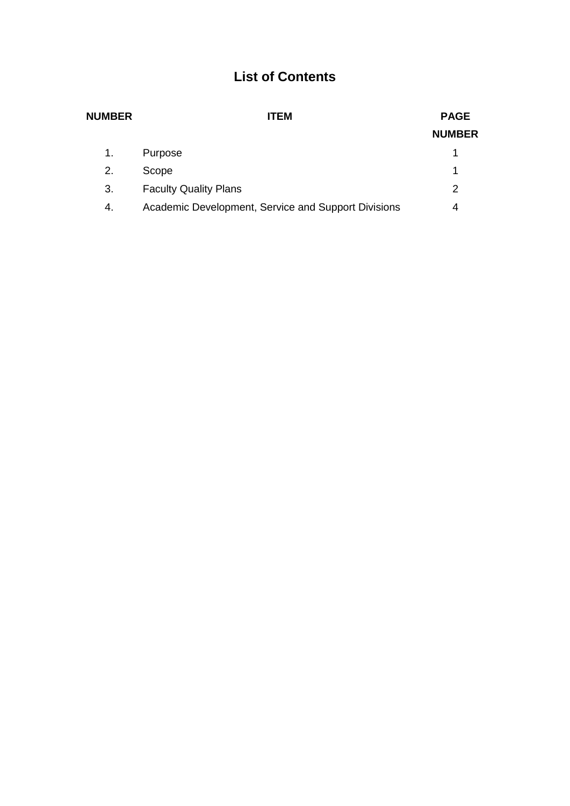# **List of Contents**

| <b>PAGE</b>   |
|---------------|
| <b>NUMBER</b> |
| 1             |
| 1             |
| 2             |
| 4             |
|               |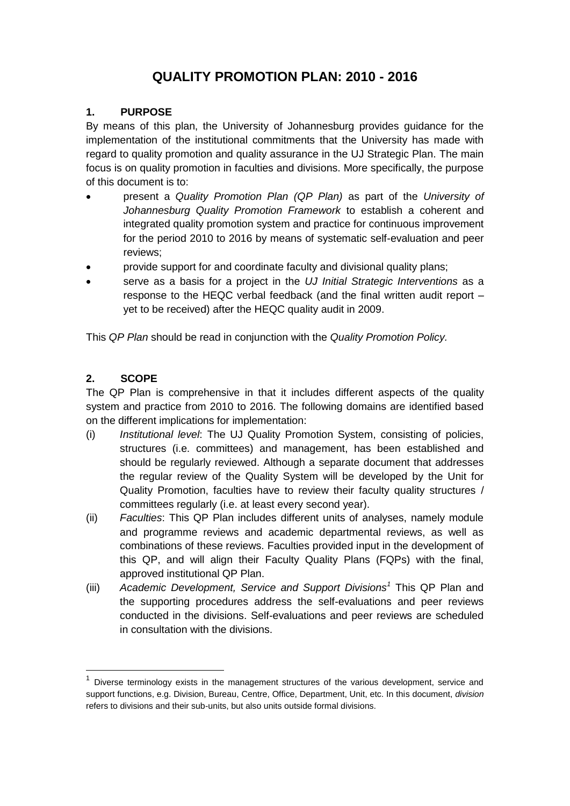# **QUALITY PROMOTION PLAN: 2010 - 2016**

#### **1. PURPOSE**

By means of this plan, the University of Johannesburg provides guidance for the implementation of the institutional commitments that the University has made with regard to quality promotion and quality assurance in the UJ Strategic Plan. The main focus is on quality promotion in faculties and divisions. More specifically, the purpose of this document is to:

- present a *Quality Promotion Plan (QP Plan)* as part of the *University of Johannesburg Quality Promotion Framework* to establish a coherent and integrated quality promotion system and practice for continuous improvement for the period 2010 to 2016 by means of systematic self-evaluation and peer reviews;
- provide support for and coordinate faculty and divisional quality plans;
- serve as a basis for a project in the *UJ Initial Strategic Interventions* as a response to the HEQC verbal feedback (and the final written audit report – yet to be received) after the HEQC quality audit in 2009.

This *QP Plan* should be read in conjunction with the *Quality Promotion Policy.* 

#### **2. SCOPE**

 $\overline{a}$ 

The QP Plan is comprehensive in that it includes different aspects of the quality system and practice from 2010 to 2016. The following domains are identified based on the different implications for implementation:

- (i) *Institutional level*: The UJ Quality Promotion System, consisting of policies, structures (i.e. committees) and management, has been established and should be regularly reviewed. Although a separate document that addresses the regular review of the Quality System will be developed by the Unit for Quality Promotion, faculties have to review their faculty quality structures / committees regularly (i.e. at least every second year).
- (ii) *Faculties*: This QP Plan includes different units of analyses, namely module and programme reviews and academic departmental reviews, as well as combinations of these reviews. Faculties provided input in the development of this QP, and will align their Faculty Quality Plans (FQPs) with the final, approved institutional QP Plan.
- (iii) *Academic Development, Service and Support Divisions<sup>1</sup>* This QP Plan and the supporting procedures address the self-evaluations and peer reviews conducted in the divisions. Self-evaluations and peer reviews are scheduled in consultation with the divisions.

<sup>&</sup>lt;sup>1</sup> Diverse terminology exists in the management structures of the various development, service and support functions, e.g. Division, Bureau, Centre, Office, Department, Unit, etc. In this document, *division* refers to divisions and their sub-units, but also units outside formal divisions.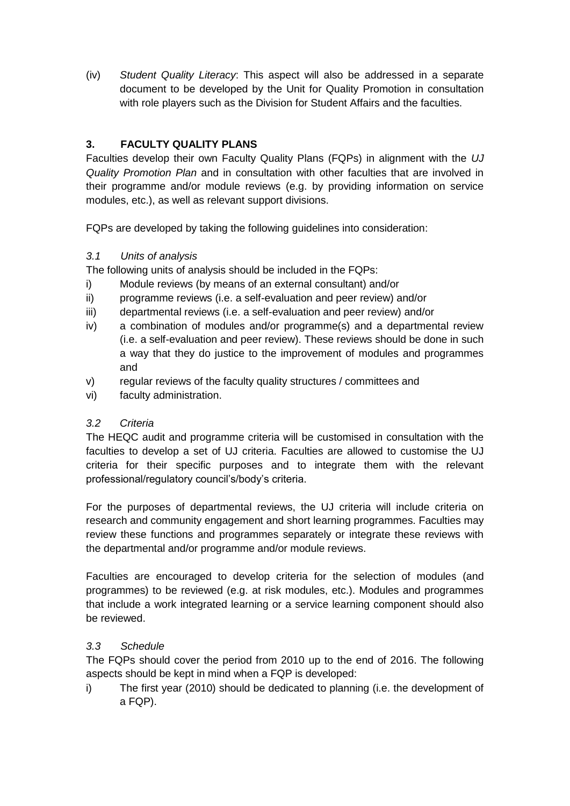(iv) *Student Quality Literacy*: This aspect will also be addressed in a separate document to be developed by the Unit for Quality Promotion in consultation with role players such as the Division for Student Affairs and the faculties.

# **3. FACULTY QUALITY PLANS**

Faculties develop their own Faculty Quality Plans (FQPs) in alignment with the *UJ Quality Promotion Plan* and in consultation with other faculties that are involved in their programme and/or module reviews (e.g. by providing information on service modules, etc.), as well as relevant support divisions.

FQPs are developed by taking the following guidelines into consideration:

#### *3.1 Units of analysis*

The following units of analysis should be included in the FQPs:

- i) Module reviews (by means of an external consultant) and/or
- ii) programme reviews (i.e. a self-evaluation and peer review) and/or
- iii) departmental reviews (i.e. a self-evaluation and peer review) and/or
- iv) a combination of modules and/or programme(s) and a departmental review (i.e. a self-evaluation and peer review). These reviews should be done in such a way that they do justice to the improvement of modules and programmes and
- v) regular reviews of the faculty quality structures / committees and
- vi) faculty administration.

# *3.2 Criteria*

The HEQC audit and programme criteria will be customised in consultation with the faculties to develop a set of UJ criteria. Faculties are allowed to customise the UJ criteria for their specific purposes and to integrate them with the relevant professional/regulatory council's/body's criteria.

For the purposes of departmental reviews, the UJ criteria will include criteria on research and community engagement and short learning programmes. Faculties may review these functions and programmes separately or integrate these reviews with the departmental and/or programme and/or module reviews.

Faculties are encouraged to develop criteria for the selection of modules (and programmes) to be reviewed (e.g. at risk modules, etc.). Modules and programmes that include a work integrated learning or a service learning component should also be reviewed.

# *3.3 Schedule*

The FQPs should cover the period from 2010 up to the end of 2016. The following aspects should be kept in mind when a FQP is developed:

i) The first year (2010) should be dedicated to planning (i.e. the development of a FQP).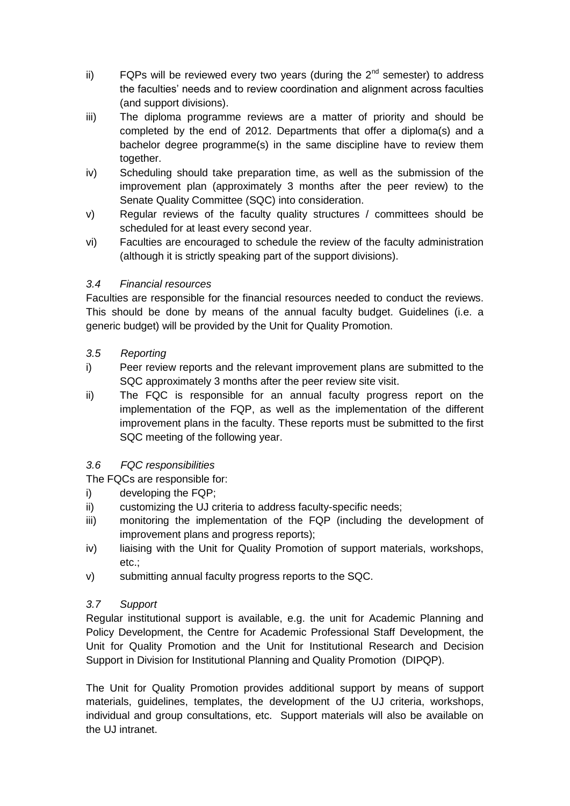- ii) FQPs will be reviewed every two years (during the  $2^{nd}$  semester) to address the faculties' needs and to review coordination and alignment across faculties (and support divisions).
- iii) The diploma programme reviews are a matter of priority and should be completed by the end of 2012. Departments that offer a diploma(s) and a bachelor degree programme(s) in the same discipline have to review them together.
- iv) Scheduling should take preparation time, as well as the submission of the improvement plan (approximately 3 months after the peer review) to the Senate Quality Committee (SQC) into consideration.
- v) Regular reviews of the faculty quality structures / committees should be scheduled for at least every second year.
- vi) Faculties are encouraged to schedule the review of the faculty administration (although it is strictly speaking part of the support divisions).

#### *3.4 Financial resources*

Faculties are responsible for the financial resources needed to conduct the reviews. This should be done by means of the annual faculty budget. Guidelines (i.e. a generic budget) will be provided by the Unit for Quality Promotion.

#### *3.5 Reporting*

- i) Peer review reports and the relevant improvement plans are submitted to the SQC approximately 3 months after the peer review site visit.
- ii) The FQC is responsible for an annual faculty progress report on the implementation of the FQP, as well as the implementation of the different improvement plans in the faculty. These reports must be submitted to the first SQC meeting of the following year.

# *3.6 FQC responsibilities*

The FQCs are responsible for:

- i) developing the FQP;
- ii) customizing the UJ criteria to address faculty-specific needs;
- iii) monitoring the implementation of the FQP (including the development of improvement plans and progress reports);
- iv) liaising with the Unit for Quality Promotion of support materials, workshops, etc.;
- v) submitting annual faculty progress reports to the SQC.

#### *3.7 Support*

Regular institutional support is available, e.g. the unit for Academic Planning and Policy Development, the Centre for Academic Professional Staff Development, the Unit for Quality Promotion and the Unit for Institutional Research and Decision Support in Division for Institutional Planning and Quality Promotion (DIPQP).

The Unit for Quality Promotion provides additional support by means of support materials, guidelines, templates, the development of the UJ criteria, workshops, individual and group consultations, etc. Support materials will also be available on the UJ intranet.